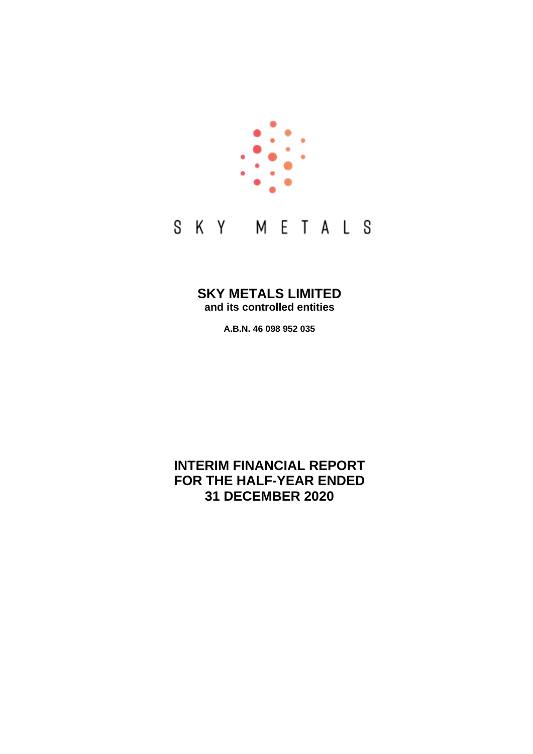

# **SKY METALS LIMITED and its controlled entities**

**A.B.N. 46 098 952 035**

# **INTERIM FINANCIAL REPORT FOR THE HALF-YEAR ENDED 31 DECEMBER 2020**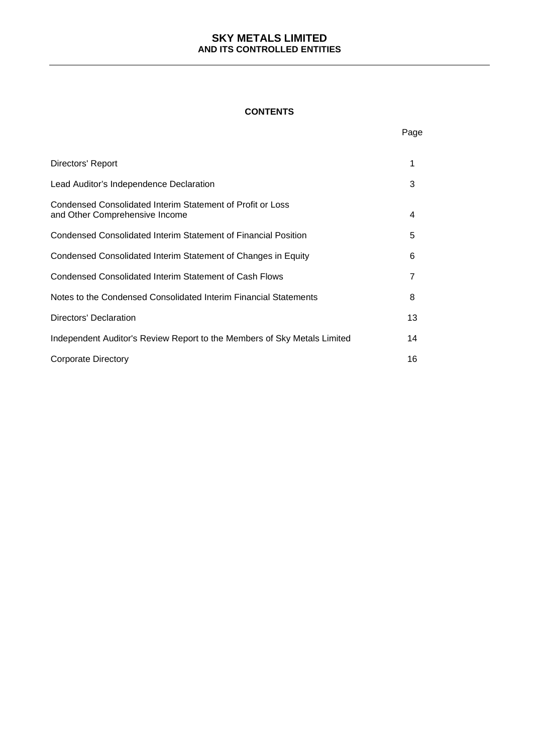## **CONTENTS**

Page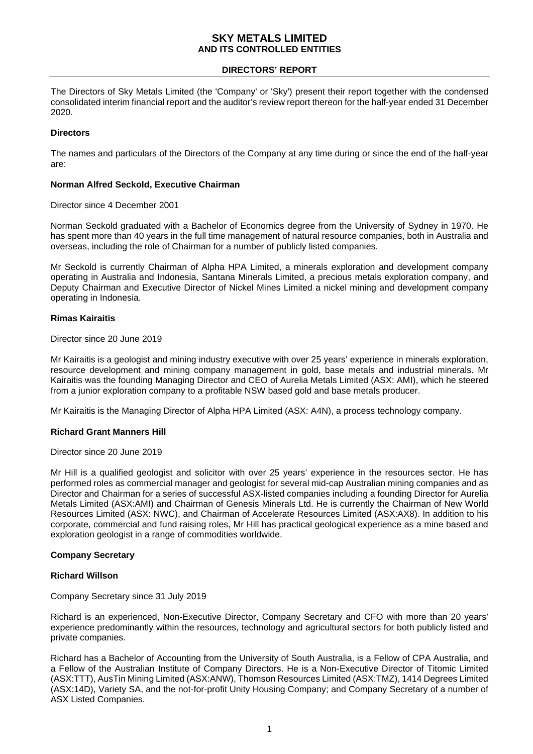### **DIRECTORS' REPORT**

The Directors of Sky Metals Limited (the 'Company' or 'Sky') present their report together with the condensed consolidated interim financial report and the auditor's review report thereon for the half-year ended 31 December 2020.

## **Directors**

The names and particulars of the Directors of the Company at any time during or since the end of the half-year are:

#### **Norman Alfred Seckold, Executive Chairman**

#### Director since 4 December 2001

Norman Seckold graduated with a Bachelor of Economics degree from the University of Sydney in 1970. He has spent more than 40 years in the full time management of natural resource companies, both in Australia and overseas, including the role of Chairman for a number of publicly listed companies.

Mr Seckold is currently Chairman of Alpha HPA Limited, a minerals exploration and development company operating in Australia and Indonesia, Santana Minerals Limited, a precious metals exploration company, and Deputy Chairman and Executive Director of Nickel Mines Limited a nickel mining and development company operating in Indonesia.

### **Rimas Kairaitis**

Director since 20 June 2019

Mr Kairaitis is a geologist and mining industry executive with over 25 years' experience in minerals exploration, resource development and mining company management in gold, base metals and industrial minerals. Mr Kairaitis was the founding Managing Director and CEO of Aurelia Metals Limited (ASX: AMI), which he steered from a junior exploration company to a profitable NSW based gold and base metals producer.

Mr Kairaitis is the Managing Director of Alpha HPA Limited (ASX: A4N), a process technology company.

# **Richard Grant Manners Hill**

Director since 20 June 2019

Mr Hill is a qualified geologist and solicitor with over 25 years' experience in the resources sector. He has performed roles as commercial manager and geologist for several mid-cap Australian mining companies and as Director and Chairman for a series of successful ASX-listed companies including a founding Director for Aurelia Metals Limited (ASX:AMI) and Chairman of Genesis Minerals Ltd. He is currently the Chairman of New World Resources Limited (ASX: NWC), and Chairman of Accelerate Resources Limited (ASX:AX8). In addition to his corporate, commercial and fund raising roles, Mr Hill has practical geological experience as a mine based and exploration geologist in a range of commodities worldwide.

#### **Company Secretary**

#### **Richard Willson**

Company Secretary since 31 July 2019

Richard is an experienced, Non-Executive Director, Company Secretary and CFO with more than 20 years' experience predominantly within the resources, technology and agricultural sectors for both publicly listed and private companies.

Richard has a Bachelor of Accounting from the University of South Australia, is a Fellow of CPA Australia, and a Fellow of the Australian Institute of Company Directors. He is a Non-Executive Director of Titomic Limited (ASX:TTT), AusTin Mining Limited (ASX:ANW), Thomson Resources Limited (ASX:TMZ), 1414 Degrees Limited (ASX:14D), Variety SA, and the not-for-profit Unity Housing Company; and Company Secretary of a number of ASX Listed Companies.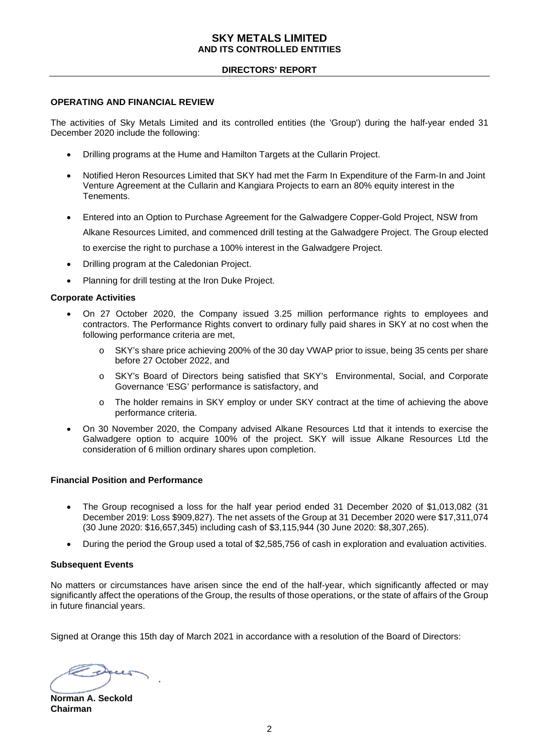# **DIRECTORS' REPORT**

#### **OPERATING AND FINANCIAL REVIEW**

The activities of Sky Metals Limited and its controlled entities (the 'Group') during the half-year ended 31 December 2020 include the following:

- Drilling programs at the Hume and Hamilton Targets at the Cullarin Project.
- Notified Heron Resources Limited that SKY had met the Farm In Expenditure of the Farm-In and Joint Venture Agreement at the Cullarin and Kangiara Projects to earn an 80% equity interest in the Tenements.
- Entered into an Option to Purchase Agreement for the Galwadgere Copper-Gold Project, NSW from Alkane Resources Limited, and commenced drill testing at the Galwadgere Project. The Group elected to exercise the right to purchase a 100% interest in the Galwadgere Project.
- Drilling program at the Caledonian Project.
- Planning for drill testing at the Iron Duke Project.

#### **Corporate Activities**

- On 27 October 2020, the Company issued 3.25 million performance rights to employees and contractors. The Performance Rights convert to ordinary fully paid shares in SKY at no cost when the following performance criteria are met,
	- o SKY's share price achieving 200% of the 30 day VWAP prior to issue, being 35 cents per share before 27 October 2022, and
	- o SKY's Board of Directors being satisfied that SKY's Environmental, Social, and Corporate Governance 'ESG' performance is satisfactory, and
	- o The holder remains in SKY employ or under SKY contract at the time of achieving the above performance criteria.
- On 30 November 2020, the Company advised Alkane Resources Ltd that it intends to exercise the Galwadgere option to acquire 100% of the project. SKY will issue Alkane Resources Ltd the consideration of 6 million ordinary shares upon completion.

#### **Financial Position and Performance**

- The Group recognised a loss for the half year period ended 31 December 2020 of \$1,013,082 (31 December 2019: Loss \$909,827). The net assets of the Group at 31 December 2020 were \$17,311,074 (30 June 2020: \$16,657,345) including cash of \$3,115,944 (30 June 2020: \$8,307,265).
- During the period the Group used a total of \$2,585,756 of cash in exploration and evaluation activities.

#### **Subsequent Events**

No matters or circumstances have arisen since the end of the half-year, which significantly affected or may significantly affect the operations of the Group, the results of those operations, or the state of affairs of the Group in future financial years.

Signed at Orange this 15th day of March 2021 in accordance with a resolution of the Board of Directors:

Expect

**Norman A. Seckold Chairman**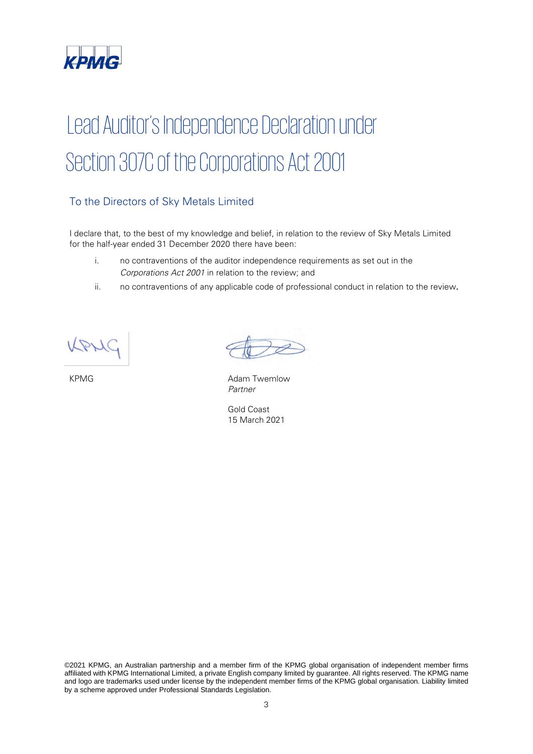

# Lead Auditor's Independence Declaration under Section 307C of the Corporations Act 2001

# To the Directors of Sky Metals Limited

I declare that, to the best of my knowledge and belief, in relation to the review of Sky Metals Limited for the half-year ended 31 December 2020 there have been:

- i. no contraventions of the auditor independence requirements as set out in the Corporations Act 2001 in relation to the review; and
- ii. no contraventions of any applicable code of professional conduct in relation to the review.

KPMG **Adam Twemlow** Partner

Gold Coast 15 March 2021

©2021 KPMG, an Australian partnership and a member firm of the KPMG global organisation of independent member firms affiliated with KPMG International Limited, a private English company limited by guarantee. All rights reserved. The KPMG name and logo are trademarks used under license by the independent member firms of the KPMG global organisation. Liability limited by a scheme approved under Professional Standards Legislation.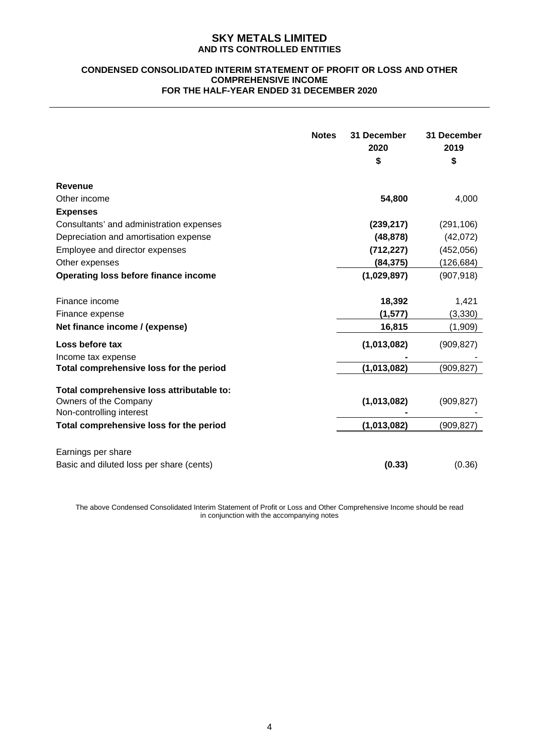#### **CONDENSED CONSOLIDATED INTERIM STATEMENT OF PROFIT OR LOSS AND OTHER COMPREHENSIVE INCOME FOR THE HALF-YEAR ENDED 31 DECEMBER 2020**

|                                                                                                | <b>Notes</b> | 31 December<br>2020<br>\$ | 31 December<br>2019<br>\$ |
|------------------------------------------------------------------------------------------------|--------------|---------------------------|---------------------------|
| <b>Revenue</b>                                                                                 |              |                           |                           |
| Other income                                                                                   |              | 54,800                    | 4,000                     |
| <b>Expenses</b>                                                                                |              |                           |                           |
| Consultants' and administration expenses                                                       |              | (239, 217)                | (291, 106)                |
| Depreciation and amortisation expense                                                          |              | (48, 878)                 | (42,072)                  |
| Employee and director expenses                                                                 |              | (712, 227)                | (452, 056)                |
| Other expenses                                                                                 |              | (84, 375)                 | (126, 684)                |
| Operating loss before finance income                                                           |              | (1,029,897)               | (907, 918)                |
| Finance income                                                                                 |              | 18,392                    | 1,421                     |
| Finance expense                                                                                |              | (1, 577)                  | (3, 330)                  |
| Net finance income / (expense)                                                                 |              | 16,815                    | (1,909)                   |
| Loss before tax<br>Income tax expense                                                          |              | (1,013,082)               | (909, 827)                |
| Total comprehensive loss for the period                                                        |              | (1,013,082)               | (909, 827)                |
| Total comprehensive loss attributable to:<br>Owners of the Company<br>Non-controlling interest |              | (1,013,082)               | (909, 827)                |
| Total comprehensive loss for the period                                                        |              | (1,013,082)               | (909, 827)                |
| Earnings per share<br>Basic and diluted loss per share (cents)                                 |              | (0.33)                    | (0.36)                    |

The above Condensed Consolidated Interim Statement of Profit or Loss and Other Comprehensive Income should be read in conjunction with the accompanying notes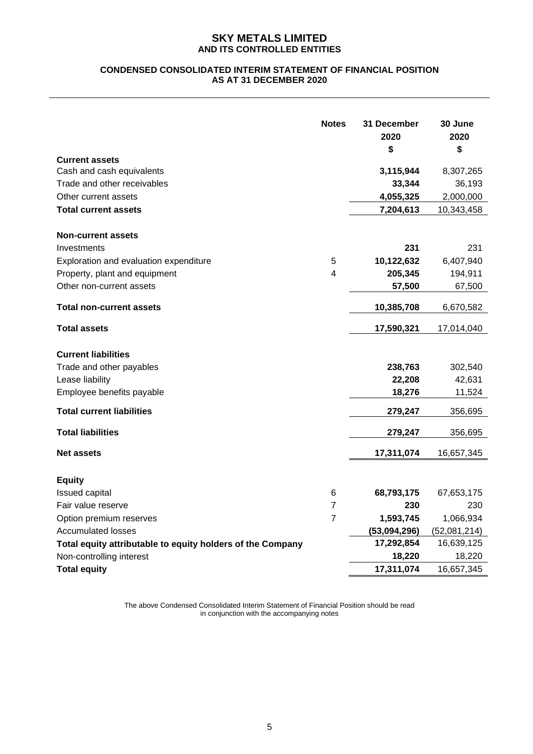# **CONDENSED CONSOLIDATED INTERIM STATEMENT OF FINANCIAL POSITION AS AT 31 DECEMBER 2020**

| <b>Current assets</b>                                      | <b>Notes</b>   | 31 December<br>2020<br>\$ | 30 June<br>2020<br>\$ |
|------------------------------------------------------------|----------------|---------------------------|-----------------------|
| Cash and cash equivalents                                  |                | 3,115,944                 | 8,307,265             |
| Trade and other receivables                                |                | 33,344                    | 36,193                |
| Other current assets                                       |                | 4,055,325                 | 2,000,000             |
| <b>Total current assets</b>                                |                | 7,204,613                 | 10,343,458            |
|                                                            |                |                           |                       |
| <b>Non-current assets</b>                                  |                |                           |                       |
| Investments                                                |                | 231                       | 231                   |
| Exploration and evaluation expenditure                     | 5              | 10,122,632                | 6,407,940             |
| Property, plant and equipment                              | 4              | 205,345                   | 194,911               |
| Other non-current assets                                   |                | 57,500                    | 67,500                |
| <b>Total non-current assets</b>                            |                | 10,385,708                | 6,670,582             |
| <b>Total assets</b>                                        |                | 17,590,321                | 17,014,040            |
| <b>Current liabilities</b>                                 |                |                           |                       |
| Trade and other payables                                   |                | 238,763                   | 302,540               |
| Lease liability                                            |                | 22,208                    | 42,631                |
| Employee benefits payable                                  |                | 18,276                    | 11,524                |
| <b>Total current liabilities</b>                           |                | 279,247                   | 356,695               |
| <b>Total liabilities</b>                                   |                | 279,247                   | 356,695               |
| <b>Net assets</b>                                          |                | 17,311,074                | 16,657,345            |
| <b>Equity</b>                                              |                |                           |                       |
| Issued capital                                             | 6              | 68,793,175                | 67,653,175            |
| Fair value reserve                                         | 7              | 230                       | 230                   |
| Option premium reserves                                    | $\overline{7}$ | 1,593,745                 | 1,066,934             |
| <b>Accumulated losses</b>                                  |                | (53,094,296)              | (52,081,214)          |
| Total equity attributable to equity holders of the Company |                | 17,292,854                | 16,639,125            |
| Non-controlling interest                                   |                | 18,220                    | 18,220                |
| <b>Total equity</b>                                        |                | 17,311,074                | 16,657,345            |

The above Condensed Consolidated Interim Statement of Financial Position should be read in conjunction with the accompanying notes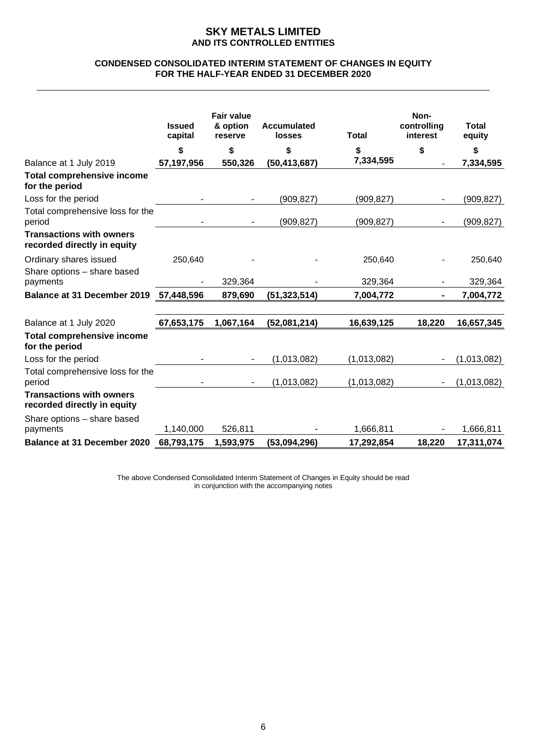#### **CONDENSED CONSOLIDATED INTERIM STATEMENT OF CHANGES IN EQUITY FOR THE HALF-YEAR ENDED 31 DECEMBER 2020**

|                                                                | <b>Issued</b><br>capital | <b>Fair value</b><br>& option<br>reserve | <b>Accumulated</b><br><b>losses</b> | <b>Total</b> | Non-<br>controlling<br>interest | <b>Total</b><br>equity |
|----------------------------------------------------------------|--------------------------|------------------------------------------|-------------------------------------|--------------|---------------------------------|------------------------|
|                                                                | \$                       | \$                                       | \$                                  | \$           | \$                              | \$                     |
| Balance at 1 July 2019                                         | 57,197,956               | 550,326                                  | (50, 413, 687)                      | 7,334,595    |                                 | 7,334,595              |
| <b>Total comprehensive income</b><br>for the period            |                          |                                          |                                     |              |                                 |                        |
| Loss for the period                                            |                          |                                          | (909, 827)                          | (909, 827)   |                                 | (909, 827)             |
| Total comprehensive loss for the<br>period                     |                          |                                          | (909, 827)                          | (909, 827)   |                                 | (909, 827)             |
| <b>Transactions with owners</b><br>recorded directly in equity |                          |                                          |                                     |              |                                 |                        |
| Ordinary shares issued<br>Share options - share based          | 250,640                  |                                          |                                     | 250,640      |                                 | 250,640                |
| payments                                                       |                          | 329,364                                  |                                     | 329,364      |                                 | 329,364                |
| <b>Balance at 31 December 2019</b>                             | 57,448,596               | 879,690                                  | (51, 323, 514)                      | 7,004,772    |                                 | 7,004,772              |
| Balance at 1 July 2020                                         | 67,653,175               | 1,067,164                                | (52,081,214)                        | 16,639,125   | 18,220                          | 16,657,345             |
| <b>Total comprehensive income</b><br>for the period            |                          |                                          |                                     |              |                                 |                        |
| Loss for the period                                            |                          |                                          | (1,013,082)                         | (1,013,082)  |                                 | (1,013,082)            |
| Total comprehensive loss for the<br>period                     |                          |                                          | (1,013,082)                         | (1,013,082)  |                                 | (1,013,082)            |
| <b>Transactions with owners</b><br>recorded directly in equity |                          |                                          |                                     |              |                                 |                        |
| Share options - share based<br>payments                        | 1,140,000                | 526,811                                  |                                     | 1,666,811    |                                 | 1,666,811              |
| <b>Balance at 31 December 2020</b>                             | 68,793,175               | 1,593,975                                | (53,094,296)                        | 17,292,854   | 18,220                          | 17,311,074             |

The above Condensed Consolidated Interim Statement of Changes in Equity should be read in conjunction with the accompanying notes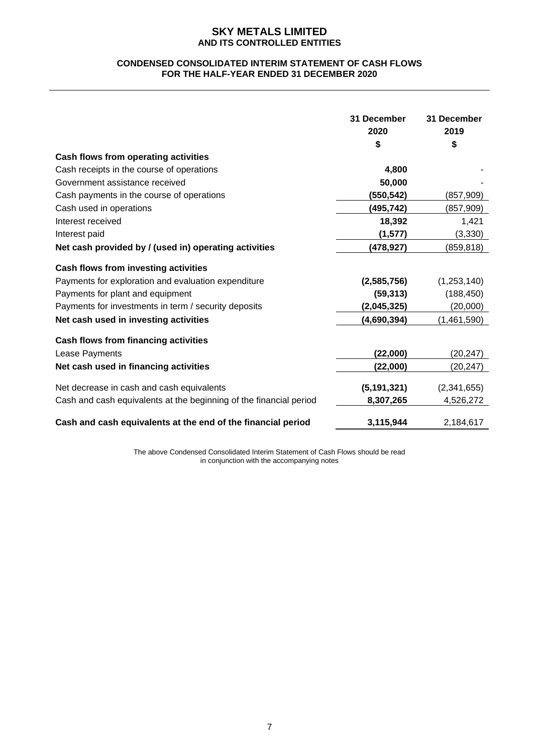### **CONDENSED CONSOLIDATED INTERIM STATEMENT OF CASH FLOWS FOR THE HALF-YEAR ENDED 31 DECEMBER 2020**

|                                                                    | 31 December<br>2020<br>\$ | 31 December<br>2019<br>\$ |
|--------------------------------------------------------------------|---------------------------|---------------------------|
| Cash flows from operating activities                               |                           |                           |
| Cash receipts in the course of operations                          | 4,800                     |                           |
| Government assistance received                                     | 50,000                    |                           |
| Cash payments in the course of operations                          | (550,542)                 | (857,909)                 |
| Cash used in operations                                            | (495,742)                 | (857,909)                 |
| Interest received                                                  | 18,392                    | 1,421                     |
| Interest paid                                                      | (1,577)                   | (3,330)                   |
| Net cash provided by / (used in) operating activities              | (478,927)                 | (859,818)                 |
| Cash flows from investing activities                               |                           |                           |
| Payments for exploration and evaluation expenditure                | (2,585,756)               | (1,253,140)               |
| Payments for plant and equipment                                   | (59, 313)                 | (188, 450)                |
| Payments for investments in term / security deposits               | (2,045,325)               | (20,000)                  |
| Net cash used in investing activities                              | (4,690,394)               | (1,461,590)               |
| <b>Cash flows from financing activities</b>                        |                           |                           |
| Lease Payments                                                     | (22,000)                  | (20, 247)                 |
| Net cash used in financing activities                              | (22,000)                  | (20, 247)                 |
| Net decrease in cash and cash equivalents                          | (5, 191, 321)             | (2,341,655)               |
| Cash and cash equivalents at the beginning of the financial period | 8,307,265                 | 4,526,272                 |
| Cash and cash equivalents at the end of the financial period       | 3,115,944                 | 2,184,617                 |

The above Condensed Consolidated Interim Statement of Cash Flows should be read in conjunction with the accompanying notes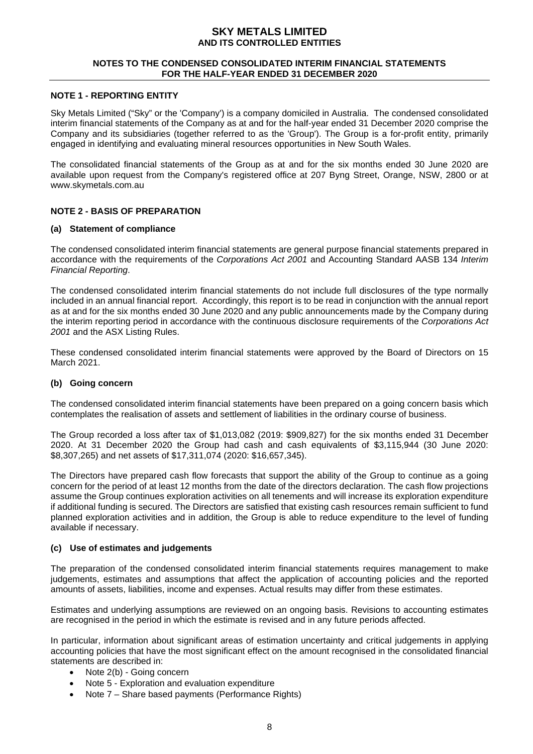#### **NOTES TO THE CONDENSED CONSOLIDATED INTERIM FINANCIAL STATEMENTS FOR THE HALF-YEAR ENDED 31 DECEMBER 2020**

#### **NOTE 1 - REPORTING ENTITY**

Sky Metals Limited ("Sky" or the 'Company') is a company domiciled in Australia. The condensed consolidated interim financial statements of the Company as at and for the half-year ended 31 December 2020 comprise the Company and its subsidiaries (together referred to as the 'Group'). The Group is a for-profit entity, primarily engaged in identifying and evaluating mineral resources opportunities in New South Wales.

The consolidated financial statements of the Group as at and for the six months ended 30 June 2020 are available upon request from the Company's registered office at 207 Byng Street, Orange, NSW, 2800 or at www.skymetals.com.au

# **NOTE 2 - BASIS OF PREPARATION**

#### **(a) Statement of compliance**

The condensed consolidated interim financial statements are general purpose financial statements prepared in accordance with the requirements of the *Corporations Act 2001* and Accounting Standard AASB 134 *Interim Financial Reporting*.

The condensed consolidated interim financial statements do not include full disclosures of the type normally included in an annual financial report. Accordingly, this report is to be read in conjunction with the annual report as at and for the six months ended 30 June 2020 and any public announcements made by the Company during the interim reporting period in accordance with the continuous disclosure requirements of the *Corporations Act 2001* and the ASX Listing Rules.

These condensed consolidated interim financial statements were approved by the Board of Directors on 15 March 2021.

#### **(b) Going concern**

The condensed consolidated interim financial statements have been prepared on a going concern basis which contemplates the realisation of assets and settlement of liabilities in the ordinary course of business.

The Group recorded a loss after tax of \$1,013,082 (2019: \$909,827) for the six months ended 31 December 2020. At 31 December 2020 the Group had cash and cash equivalents of \$3,115,944 (30 June 2020: \$8,307,265) and net assets of \$17,311,074 (2020: \$16,657,345).

The Directors have prepared cash flow forecasts that support the ability of the Group to continue as a going concern for the period of at least 12 months from the date of the directors declaration. The cash flow projections assume the Group continues exploration activities on all tenements and will increase its exploration expenditure if additional funding is secured. The Directors are satisfied that existing cash resources remain sufficient to fund planned exploration activities and in addition, the Group is able to reduce expenditure to the level of funding available if necessary.

#### **(c) Use of estimates and judgements**

The preparation of the condensed consolidated interim financial statements requires management to make judgements, estimates and assumptions that affect the application of accounting policies and the reported amounts of assets, liabilities, income and expenses. Actual results may differ from these estimates.

Estimates and underlying assumptions are reviewed on an ongoing basis. Revisions to accounting estimates are recognised in the period in which the estimate is revised and in any future periods affected.

In particular, information about significant areas of estimation uncertainty and critical judgements in applying accounting policies that have the most significant effect on the amount recognised in the consolidated financial statements are described in:

- Note 2(b) Going concern
- Note 5 Exploration and evaluation expenditure
- Note 7 Share based payments (Performance Rights)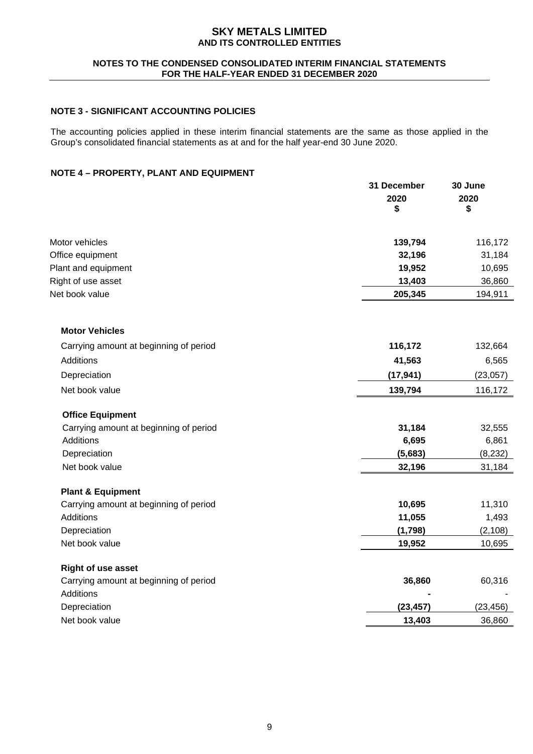### **NOTES TO THE CONDENSED CONSOLIDATED INTERIM FINANCIAL STATEMENTS FOR THE HALF-YEAR ENDED 31 DECEMBER 2020**

# **NOTE 3 - SIGNIFICANT ACCOUNTING POLICIES**

The accounting policies applied in these interim financial statements are the same as those applied in the Group's consolidated financial statements as at and for the half year-end 30 June 2020.

# **NOTE 4 – PROPERTY, PLANT AND EQUIPMENT**

|                                        | 31 December<br>2020<br>\$ | 30 June<br>2020<br>\$ |
|----------------------------------------|---------------------------|-----------------------|
| Motor vehicles                         | 139,794                   | 116,172               |
| Office equipment                       | 32,196                    | 31,184                |
| Plant and equipment                    | 19,952                    | 10,695                |
| Right of use asset                     | 13,403                    | 36,860                |
| Net book value                         | 205,345                   | 194,911               |
| <b>Motor Vehicles</b>                  |                           |                       |
| Carrying amount at beginning of period | 116,172                   | 132,664               |
| Additions                              | 41,563                    | 6,565                 |
| Depreciation                           | (17, 941)                 | (23,057)              |
| Net book value                         | 139,794                   | 116,172               |
| <b>Office Equipment</b>                |                           |                       |
| Carrying amount at beginning of period | 31,184                    | 32,555                |
| Additions                              | 6,695                     | 6,861                 |
| Depreciation                           | (5,683)                   | (8, 232)              |
| Net book value                         | 32,196                    | 31,184                |
| <b>Plant &amp; Equipment</b>           |                           |                       |
| Carrying amount at beginning of period | 10,695                    | 11,310                |
| Additions                              | 11,055                    | 1,493                 |
| Depreciation                           | (1,798)                   | (2, 108)              |
| Net book value                         | 19,952                    | 10,695                |
| <b>Right of use asset</b>              |                           |                       |
| Carrying amount at beginning of period | 36,860                    | 60,316                |
| Additions                              |                           |                       |
| Depreciation                           | (23, 457)                 | (23, 456)             |
| Net book value                         | 13,403                    | 36,860                |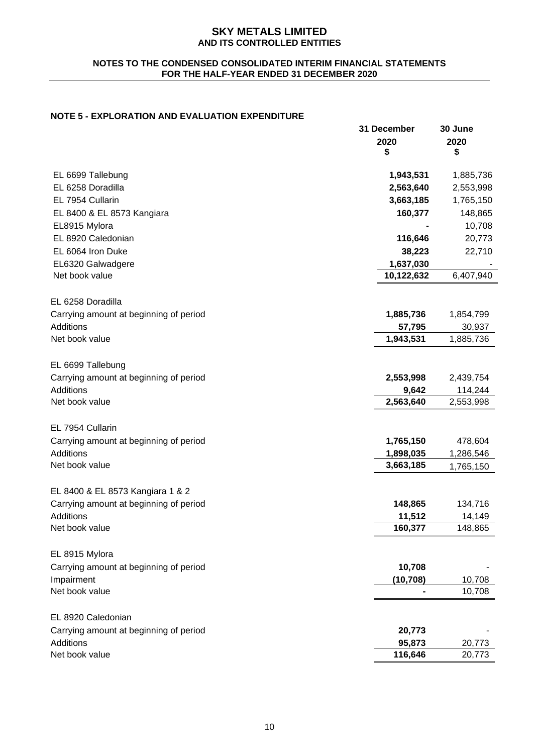### **NOTES TO THE CONDENSED CONSOLIDATED INTERIM FINANCIAL STATEMENTS FOR THE HALF-YEAR ENDED 31 DECEMBER 2020**

# **NOTE 5 - EXPLORATION AND EVALUATION EXPENDITURE**

|                                        | 31 December<br>2020<br>\$ | 30 June<br>2020<br>\$ |
|----------------------------------------|---------------------------|-----------------------|
| EL 6699 Tallebung                      | 1,943,531                 | 1,885,736             |
| EL 6258 Doradilla                      | 2,563,640                 | 2,553,998             |
| EL 7954 Cullarin                       | 3,663,185                 | 1,765,150             |
| EL 8400 & EL 8573 Kangiara             | 160,377                   | 148,865               |
| EL8915 Mylora                          |                           | 10,708                |
| EL 8920 Caledonian                     | 116,646                   | 20,773                |
| EL 6064 Iron Duke                      | 38,223                    | 22,710                |
| EL6320 Galwadgere                      | 1,637,030                 |                       |
| Net book value                         | 10,122,632                | 6,407,940             |
| EL 6258 Doradilla                      |                           |                       |
| Carrying amount at beginning of period | 1,885,736                 | 1,854,799             |
| Additions                              | 57,795                    | 30,937                |
| Net book value                         | 1,943,531                 | 1,885,736             |
| EL 6699 Tallebung                      |                           |                       |
| Carrying amount at beginning of period | 2,553,998                 | 2,439,754             |
| Additions                              | 9,642                     | 114,244               |
| Net book value                         | 2,563,640                 | 2,553,998             |
| EL 7954 Cullarin                       |                           |                       |
| Carrying amount at beginning of period | 1,765,150                 | 478,604               |
| Additions                              | 1,898,035                 | 1,286,546             |
| Net book value                         | 3,663,185                 | 1,765,150             |
| EL 8400 & EL 8573 Kangiara 1 & 2       |                           |                       |
| Carrying amount at beginning of period | 148,865                   | 134,716               |
| <b>Additions</b>                       | 11,512                    | 14,149                |
| Net book value                         | 160,377                   | 148,865               |
| EL 8915 Mylora                         |                           |                       |
| Carrying amount at beginning of period | 10,708                    |                       |
| Impairment                             | (10, 708)                 | 10,708                |
| Net book value                         |                           | 10,708                |
| EL 8920 Caledonian                     |                           |                       |
| Carrying amount at beginning of period | 20,773                    |                       |
| Additions                              | 95,873                    | 20,773                |
| Net book value                         | 116,646                   | 20,773                |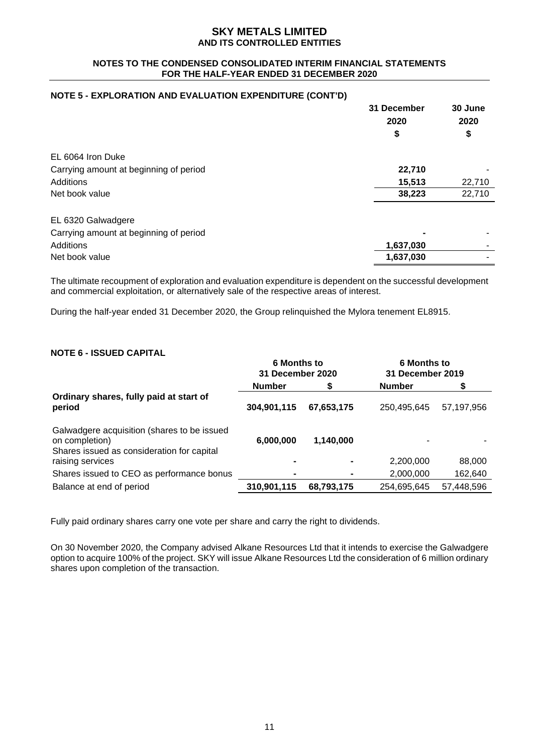### **NOTES TO THE CONDENSED CONSOLIDATED INTERIM FINANCIAL STATEMENTS FOR THE HALF-YEAR ENDED 31 DECEMBER 2020**

### **NOTE 5 - EXPLORATION AND EVALUATION EXPENDITURE (CONT'D)**

|                                        | 31 December<br>2020 | 30 June<br>2020 |
|----------------------------------------|---------------------|-----------------|
|                                        | \$                  | \$              |
| EL 6064 Iron Duke                      |                     |                 |
| Carrying amount at beginning of period | 22,710              |                 |
| Additions                              | 15,513              | 22,710          |
| Net book value                         | 38,223              | 22,710          |
| EL 6320 Galwadgere                     |                     |                 |
| Carrying amount at beginning of period |                     |                 |
| Additions                              | 1,637,030           |                 |
| Net book value                         | 1,637,030           |                 |

The ultimate recoupment of exploration and evaluation expenditure is dependent on the successful development and commercial exploitation, or alternatively sale of the respective areas of interest.

During the half-year ended 31 December 2020, the Group relinquished the Mylora tenement EL8915.

# **NOTE 6 - ISSUED CAPITAL**

|                                                                                                             | <b>6 Months to</b><br><b>31 December 2020</b> |                | <b>6 Months to</b><br>31 December 2019 |            |
|-------------------------------------------------------------------------------------------------------------|-----------------------------------------------|----------------|----------------------------------------|------------|
|                                                                                                             | <b>Number</b>                                 |                | <b>Number</b>                          |            |
| Ordinary shares, fully paid at start of<br>period                                                           | 304,901,115                                   | 67,653,175     | 250,495,645                            | 57,197,956 |
| Galwadgere acquisition (shares to be issued<br>on completion)<br>Shares issued as consideration for capital | 6,000,000                                     | 1,140,000      |                                        |            |
| raising services                                                                                            |                                               | $\blacksquare$ | 2,200,000                              | 88,000     |
| Shares issued to CEO as performance bonus                                                                   |                                               |                | 2,000,000                              | 162,640    |
| Balance at end of period                                                                                    | 310,901,115                                   | 68,793,175     | 254,695,645                            | 57,448,596 |

Fully paid ordinary shares carry one vote per share and carry the right to dividends.

On 30 November 2020, the Company advised Alkane Resources Ltd that it intends to exercise the Galwadgere option to acquire 100% of the project. SKY will issue Alkane Resources Ltd the consideration of 6 million ordinary shares upon completion of the transaction.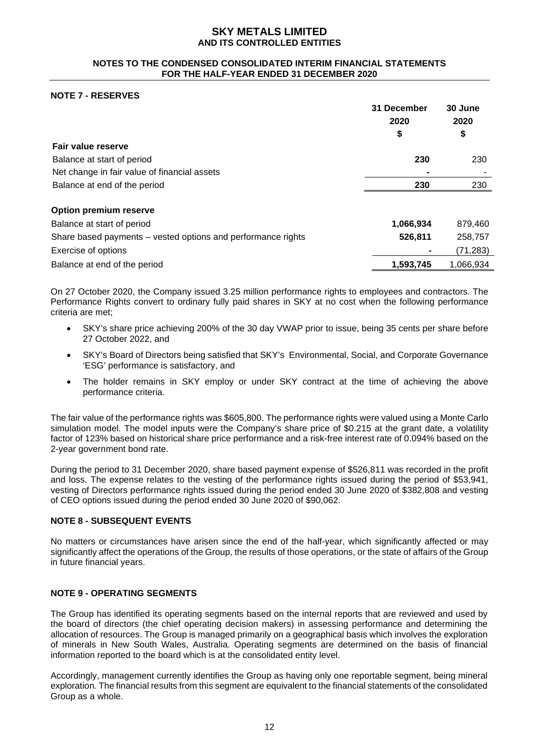#### **NOTES TO THE CONDENSED CONSOLIDATED INTERIM FINANCIAL STATEMENTS FOR THE HALF-YEAR ENDED 31 DECEMBER 2020**

# **NOTE 7 - RESERVES**

|                                                              | 31 December<br>2020 | 30 June<br>2020 |
|--------------------------------------------------------------|---------------------|-----------------|
|                                                              | \$                  | \$              |
| Fair value reserve                                           |                     |                 |
| Balance at start of period                                   | 230                 | 230             |
| Net change in fair value of financial assets                 |                     |                 |
| Balance at end of the period                                 | 230                 | 230             |
| <b>Option premium reserve</b>                                |                     |                 |
| Balance at start of period                                   | 1,066,934           | 879,460         |
| Share based payments – vested options and performance rights | 526,811             | 258,757         |
| <b>Exercise of options</b>                                   |                     | (71, 283)       |
| Balance at end of the period                                 | 1,593,745           | 1.066.934       |

On 27 October 2020, the Company issued 3.25 million performance rights to employees and contractors. The Performance Rights convert to ordinary fully paid shares in SKY at no cost when the following performance criteria are met;

- SKY's share price achieving 200% of the 30 day VWAP prior to issue, being 35 cents per share before 27 October 2022, and
- SKY's Board of Directors being satisfied that SKY's Environmental, Social, and Corporate Governance 'ESG' performance is satisfactory, and
- The holder remains in SKY employ or under SKY contract at the time of achieving the above performance criteria.

The fair value of the performance rights was \$605,800. The performance rights were valued using a Monte Carlo simulation model. The model inputs were the Company's share price of \$0.215 at the grant date, a volatility factor of 123% based on historical share price performance and a risk-free interest rate of 0.094% based on the 2-year government bond rate.

During the period to 31 December 2020, share based payment expense of \$526,811 was recorded in the profit and loss. The expense relates to the vesting of the performance rights issued during the period of \$53,941, vesting of Directors performance rights issued during the period ended 30 June 2020 of \$382,808 and vesting of CEO options issued during the period ended 30 June 2020 of \$90,062.

#### **NOTE 8 - SUBSEQUENT EVENTS**

No matters or circumstances have arisen since the end of the half-year, which significantly affected or may significantly affect the operations of the Group, the results of those operations, or the state of affairs of the Group in future financial years.

# **NOTE 9 - OPERATING SEGMENTS**

The Group has identified its operating segments based on the internal reports that are reviewed and used by the board of directors (the chief operating decision makers) in assessing performance and determining the allocation of resources. The Group is managed primarily on a geographical basis which involves the exploration of minerals in New South Wales, Australia. Operating segments are determined on the basis of financial information reported to the board which is at the consolidated entity level.

Accordingly, management currently identifies the Group as having only one reportable segment, being mineral exploration. The financial results from this segment are equivalent to the financial statements of the consolidated Group as a whole.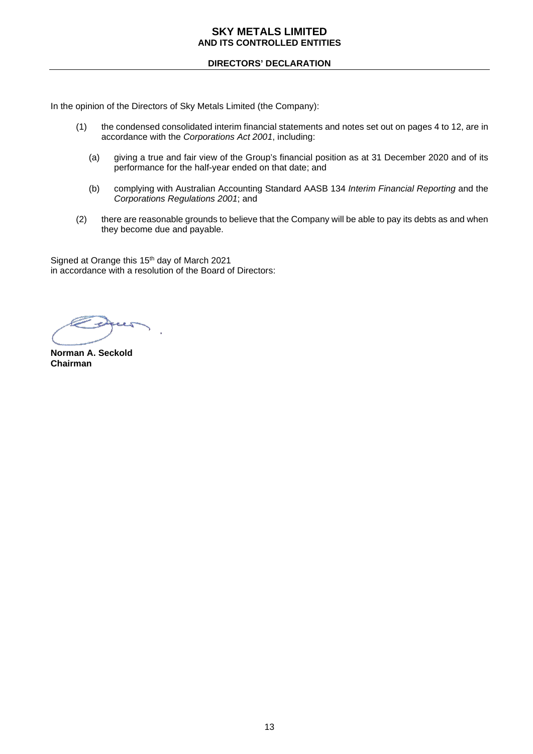## **DIRECTORS' DECLARATION**

In the opinion of the Directors of Sky Metals Limited (the Company):

- (1) the condensed consolidated interim financial statements and notes set out on pages 4 to 12, are in accordance with the *Corporations Act 2001*, including:
	- (a) giving a true and fair view of the Group's financial position as at 31 December 2020 and of its performance for the half-year ended on that date; and
	- (b) complying with Australian Accounting Standard AASB 134 *Interim Financial Reporting* and the *Corporations Regulations 2001*; and
- (2) there are reasonable grounds to believe that the Company will be able to pay its debts as and when they become due and payable.

Signed at Orange this 15<sup>th</sup> day of March 2021 in accordance with a resolution of the Board of Directors:

والمسترد **Lees** 

**Norman A. Seckold Chairman**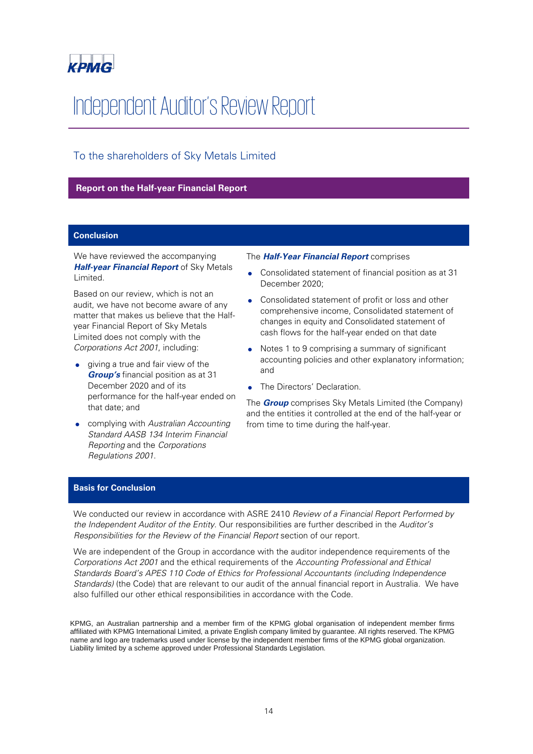

# Independent Auditor's Review Report

# To the shareholders of Sky Metals Limited

# **Report on the Half-year Financial Report**

### **Conclusion**

We have reviewed the accompanying **Half-year Financial Report** of Sky Metals Limited.

Based on our review, which is not an audit, we have not become aware of any matter that makes us believe that the Halfyear Financial Report of Sky Metals Limited does not comply with the Corporations Act 2001, including:

- giving a true and fair view of the **Group's** financial position as at 31 December 2020 and of its performance for the half-year ended on that date; and
- complying with Australian Accounting Standard AASB 134 Interim Financial Reporting and the Corporations Regulations 2001.

#### The **Half-Year Financial Report** comprises

- Consolidated statement of financial position as at 31 December 2020;
- Consolidated statement of profit or loss and other comprehensive income, Consolidated statement of changes in equity and Consolidated statement of cash flows for the half-year ended on that date
- Notes 1 to 9 comprising a summary of significant accounting policies and other explanatory information; and
- The Directors' Declaration.

The **Group** comprises Sky Metals Limited (the Company) and the entities it controlled at the end of the half-year or from time to time during the half-year.

# **Basis for Conclusion**

We conducted our review in accordance with ASRE 2410 Review of a Financial Report Performed by the Independent Auditor of the Entity. Our responsibilities are further described in the Auditor's Responsibilities for the Review of the Financial Report section of our report.

We are independent of the Group in accordance with the auditor independence requirements of the Corporations Act 2001 and the ethical requirements of the Accounting Professional and Ethical Standards Board's APES 110 Code of Ethics for Professional Accountants (including Independence Standards) (the Code) that are relevant to our audit of the annual financial report in Australia. We have also fulfilled our other ethical responsibilities in accordance with the Code.

KPMG, an Australian partnership and a member firm of the KPMG global organisation of independent member firms affiliated with KPMG International Limited, a private English company limited by guarantee. All rights reserved. The KPMG name and logo are trademarks used under license by the independent member firms of the KPMG global organization. Liability limited by a scheme approved under Professional Standards Legislation.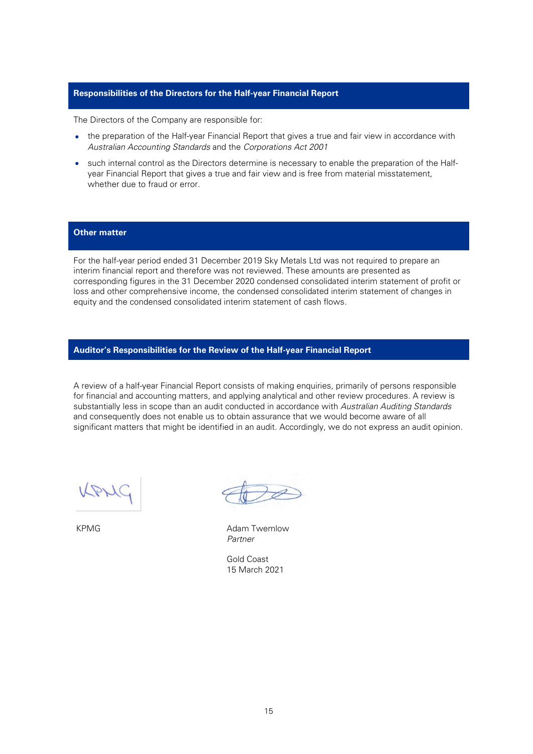# **Responsibilities of the Directors for the Half-year Financial Report**

The Directors of the Company are responsible for:

- the preparation of the Half-year Financial Report that gives a true and fair view in accordance with Australian Accounting Standards and the Corporations Act 2001
- such internal control as the Directors determine is necessary to enable the preparation of the Halfyear Financial Report that gives a true and fair view and is free from material misstatement, whether due to fraud or error.

# **Other matter**

For the half-year period ended 31 December 2019 Sky Metals Ltd was not required to prepare an interim financial report and therefore was not reviewed. These amounts are presented as corresponding figures in the 31 December 2020 condensed consolidated interim statement of profit or loss and other comprehensive income, the condensed consolidated interim statement of changes in equity and the condensed consolidated interim statement of cash flows.

# **Auditor's Responsibilities for the Review of the Half-year Financial Report**

A review of a half-year Financial Report consists of making enquiries, primarily of persons responsible for financial and accounting matters, and applying analytical and other review procedures. A review is substantially less in scope than an audit conducted in accordance with Australian Auditing Standards and consequently does not enable us to obtain assurance that we would become aware of all significant matters that might be identified in an audit. Accordingly, we do not express an audit opinion.

DM

KPMG **Adam Twemlow** Adam Twemlow Partner

Gold Coast 15 March 2021